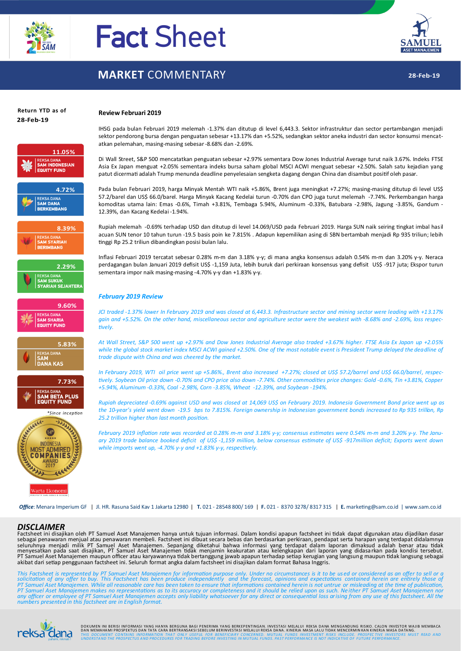

# Fact Sheet

## **MARKET** COMMENTARY



# **Return YTD as of**



#### **Review Februari 2019**

IHSG pada bulan Februari 2019 melemah -1.37% dan ditutup di level 6,443.3. Sektor infrastruktur dan sector pertambangan menjadi sektor pendorong bursa dengan penguatan sebesar +13.17% dan +5.52%, sedangkan sektor aneka industri dan sector konsumsi mencatatkan pelemahan, masing-masing sebesar -8.68% dan -2.69%.

Di Wall Street, S&P 500 mencatatkan penguatan sebesar +2.97% sementara Dow Jones Industrial Average turut naik 3.67%. Indeks FTSE Asia Ex Japan menguat +2.05% sementara indeks bursa saham global MSCI ACWI menguat sebesar +2.50%. Salah satu kejadian yang patut dicermati adalah Trump menunda deadline penyelesaian sengketa dagang dengan China dan disambut positif oleh pasar.

Pada bulan Februari 2019, harga Minyak Mentah WTI naik +5.86%, Brent juga meningkat +7.27%; masing-masing ditutup di level US\$ 57.2/barel dan US\$ 66.0/barel. Harga Minyak Kacang Kedelai turun -0.70% dan CPO juga turut melemah -7.74%. Perkembangan harga komoditas utama lain: Emas -0.6%, Timah +3.81%, Tembaga 5.94%, Aluminum -0.33%, Batubara -2.98%, Jagung -3.85%, Gandum - 12.39%, dan Kacang Kedelai -1.94%.

Rupiah melemah -0.69% terhadap USD dan ditutup di level 14.069/USD pada Februari 2019. Harga SUN naik seiring tingkat imbal hasil acuan SUN tenor 10 tahun turun -19.5 basis poin ke 7.815% . Adapun kepemilikan asing di SBN bertambah menjadi Rp 935 triliun; lebih tinggi Rp 25.2 triliun dibandingkan posisi bulan lalu.

Inflasi Februari 2019 tercatat sebesar 0.28% m-m dan 3.18% y-y; di mana angka konsensus adalah 0.54% m-m dan 3.20% y-y. Neraca perdagangan bulan Januari 2019 defisit US\$ -1,159 Juta, lebih buruk dari perkiraan konsensus yang defisit US\$ -917 juta; Ekspor turun sementara impor naik masing-masing -4.70% y-y dan +1.83% y-y.

#### *February 2019 Review*

*JCI traded -1.37% lower In February 2019 and was closed at 6,443.3. Infrastructure sector and mining sector were leading with +13.17% gain and +5.52%. On the other hand, miscellaneous sector and agriculture sector were the weakest with -8.68% and -2.69%, loss respectively.* 

*At Wall Street, S&P 500 went up +2.97% and Dow Jones Industrial Average also traded +3.67% higher. FTSE Asia Ex Japan up +2.05%*  while the global stock market index MSCI ACWI gained +2.50%. One of the most notable event is President Trump delayed the deadline of *trade dispute with China and was cheered by the market.*

*In February 2019, WTI oil price went up +5.86%., Brent also increased +7.27%; closed at US\$ 57.2/barrel and US\$ 66.0/barrel, respectively. Soybean Oil price down -0.70% and CPO price also down -7.74%. Other commodities price changes: Gold -0.6%, Tin +3.81%, Copper +5.94%, Aluminum -0.33%, Coal -2.98%, Corn -3.85%, Wheat -12.39%, and Soybean -194%.*

*Rupiah depreciated -0.69% against USD and was closed at 14,069 US\$ on February 2019. Indonesia Government Bond price went up as the 10-year's yield went down -19.5 bps to 7.815%. Foreign ownership in Indonesian government bonds increased to Rp 935 trillion, Rp 25.2 trillion higher than last month position.*

*February 2019 inflation rate was recorded at 0.28% m-m and 3.18% y-y; consensus estimates were 0.54% m-m and 3.20% y-y. The January 2019 trade balance booked deficit of US\$ -1,159 million, below consensus estimate of US\$ -917million deficit; Exports went down while imports went up, -4.70% y-y and +1.83% y-y, respectively.*

*Office*: Menara Imperium GF | Jl. HR. Rasuna Said Kav 1 Jakarta 12980 | **T.** 021 - 28548 800/ 169 | **F.** 021 - 8370 3278/ 8317 315 | **E.** marketing@sam.co.id | www.sam.co.id

#### *DISCLAIMER*

Warta Ekonomi

Factsheet ini disajikan oleh PT Samuel Aset Manajemen hanya untuk tujuan informasi. Dalam kondisi apapun factsheet ini tidak dapat digunakan atau dijadikan dasar sebagai penawaran menjual atau penawaran membeli. Factsheet ini dibuat secara bebas dan berdasarkan perkiraan, pendapat serta harapan yang terdapat didalamnya<br>seluruhnya menjadi milik PT Samuel Aset Manajemen. Sepanjang akibat dari setiap penggunaan factsheet ini. Seluruh format angka dalam factsheet ini disajikan dalam format Bahasa Inggris.

This Factsheet is represented by PT Samuel Aset Manajemen for information purpose only. Under no circumstances is it to be used or considered as an offer to sell or a<br>policitation of any offer to buy. This Factsheet has be *numbers presented in this factsheet are in English format.*



DOKUMEN INI BERISI INFORMASI YANG HANYA BERGUNA BAGI PENERIMA YANG BERKEPENTINGAN. INVESTASI MELAL UI REKSA DANA MENGANDUNG RISIKO. CALON INVESTOR WAJIB MEMBACA DORUMEN INI BERDI INFORMASI TARU HARIA BERTRANSAKSI SEBELUMA TARU BERKEFERTINGAN. INVESTASI MELALUI REKSA DANA MENGANDONO MISIRO, CALON INVESTOR WASIB MEMBALA<br>DAN MEMAHAMI PROSPEKTUS DAN TANG ARA BERTRANSAKSI SEBELICIAN CA <mark>\\_{\{|||||{</mark>|<br>@ammi<sub>n</sub>nkmall UNDERSTANDTHE PROSPECTUS AND PROCEDURES FOR TRADING BEFORE INVESTING IN MUTUAL FUNDS INVESTIGENT NISS INCLUDE. PROSPECTIVE INVESTIGENT IN PRAD AND<br>@amminikmall UNDERSTANDTHE PROSPECTUS AND PR